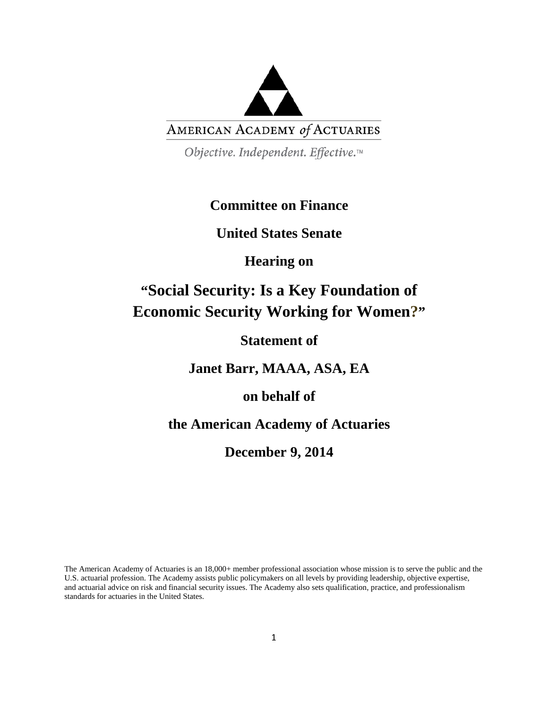

Objective. Independent. Effective.™

### **Committee on Finance**

**United States Senate**

**Hearing on**

# **"Social Security: Is a Key Foundation of Economic Security Working for Women?"**

**Statement of**

**Janet Barr, MAAA, ASA, EA**

**on behalf of**

**the American Academy of Actuaries**

**December 9, 2014**

The American Academy of Actuaries is an 18,000+ member professional association whose mission is to serve the public and the U.S. actuarial profession. The Academy assists public policymakers on all levels by providing leadership, objective expertise, and actuarial advice on risk and financial security issues. The Academy also sets qualification, practice, and professionalism standards for actuaries in the United States.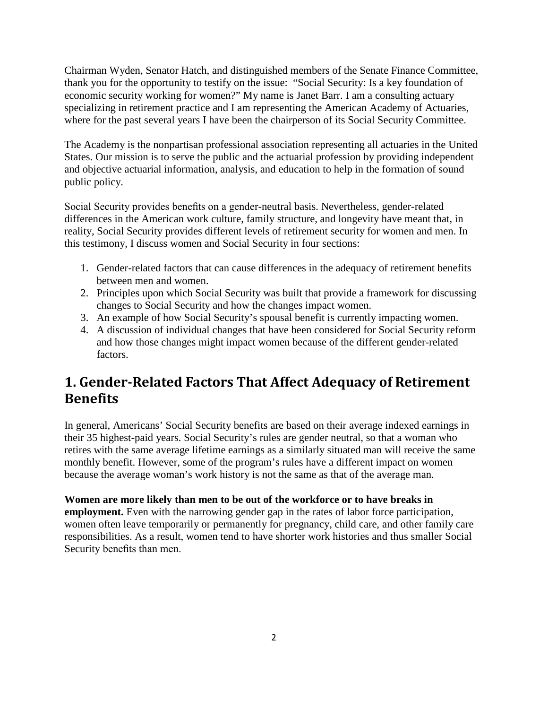Chairman Wyden, Senator Hatch, and distinguished members of the Senate Finance Committee, thank you for the opportunity to testify on the issue: "Social Security: Is a key foundation of economic security working for women?" My name is Janet Barr. I am a consulting actuary specializing in retirement practice and I am representing the American Academy of Actuaries, where for the past several years I have been the chairperson of its Social Security Committee.

The Academy is the nonpartisan professional association representing all actuaries in the United States. Our mission is to serve the public and the actuarial profession by providing independent and objective actuarial information, analysis, and education to help in the formation of sound public policy.

Social Security provides benefits on a gender-neutral basis. Nevertheless, gender-related differences in the American work culture, family structure, and longevity have meant that, in reality, Social Security provides different levels of retirement security for women and men. In this testimony, I discuss women and Social Security in four sections:

- 1. Gender-related factors that can cause differences in the adequacy of retirement benefits between men and women.
- 2. Principles upon which Social Security was built that provide a framework for discussing changes to Social Security and how the changes impact women.
- 3. An example of how Social Security's spousal benefit is currently impacting women.
- 4. A discussion of individual changes that have been considered for Social Security reform and how those changes might impact women because of the different gender-related factors.

## **1. Gender-Related Factors That Affect Adequacy of Retirement Benefits**

In general, Americans' Social Security benefits are based on their average indexed earnings in their 35 highest-paid years. Social Security's rules are gender neutral, so that a woman who retires with the same average lifetime earnings as a similarly situated man will receive the same monthly benefit. However, some of the program's rules have a different impact on women because the average woman's work history is not the same as that of the average man.

**Women are more likely than men to be out of the workforce or to have breaks in employment.** Even with the narrowing gender gap in the rates of labor force participation, women often leave temporarily or permanently for pregnancy, child care, and other family care responsibilities. As a result, women tend to have shorter work histories and thus smaller Social Security benefits than men.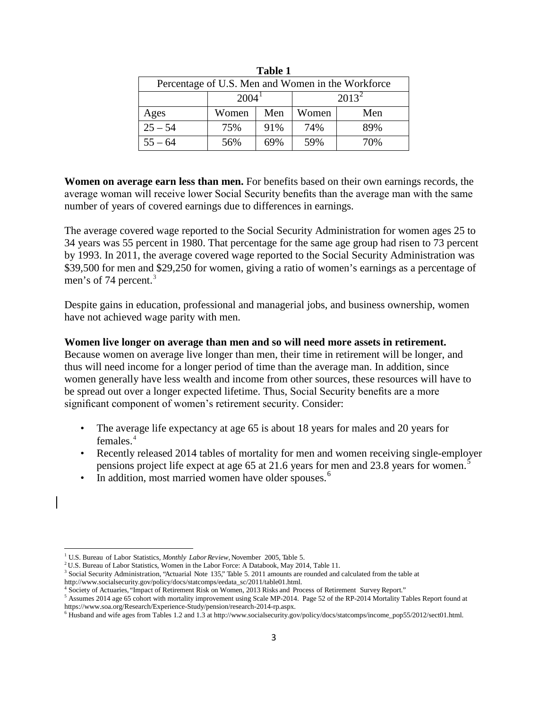| rabie r                                           |       |     |       |          |  |
|---------------------------------------------------|-------|-----|-------|----------|--|
| Percentage of U.S. Men and Women in the Workforce |       |     |       |          |  |
| $2004^{\circ}$                                    |       |     |       | $2013^2$ |  |
| Ages                                              | Women | Men | Women | Men      |  |
| $25 - 54$                                         | 75%   | 91% | 74%   | 89%      |  |
| $55 - 64$                                         | 56%   | 69% | 59%   | 70%      |  |

**Table 1** 

**Women on average earn less than men.** For benefits based on their own earnings records, the average woman will receive lower Social Security benefits than the average man with the same number of years of covered earnings due to differences in earnings.

The average covered wage reported to the Social Security Administration for women ages 25 to 34 years was 55 percent in 1980. That percentage for the same age group had risen to 73 percent by 1993. In 2011, the average covered wage reported to the Social Security Administration was \$39,500 for men and \$29,250 for women, giving a ratio of women's earnings as a percentage of men's of 74 percent. [3](#page-2-2)

Despite gains in education, professional and managerial jobs, and business ownership, women have not achieved wage parity with men.

#### **Women live longer on average than men and so will need more assets in retirement.**

Because women on average live longer than men, their time in retirement will be longer, and thus will need income for a longer period of time than the average man. In addition, since women generally have less wealth and income from other sources, these resources will have to be spread out over a longer expected lifetime. Thus, Social Security benefits are a more significant component of women's retirement security. Consider:

- The average life expectancy at age 65 is about 18 years for males and 20 years for females.[4](#page-2-3)
- Recently released 2014 tables of mortality for men and women receiving single-employer pensions project life expect at age 65 at 21.6 years for men and 23.8 years for women.[5](#page-2-4)
- In addition, most married women have older spouses.<sup>[6](#page-2-5)</sup>

l

<span id="page-2-1"></span><span id="page-2-0"></span><sup>&</sup>lt;sup>1</sup> U.S. Bureau of Labor Statistics, *Monthly Labor Review*, November 2005, Table 5. <sup>2</sup> [U.S. Bureau of Labor Statistics, Women in the Labor Force: A Databook, May 2014, Table 11](http://www.bls.gov/cps/wlf-databook-2013.pdf).

<span id="page-2-2"></span> $3$  Social Security Administration, "Actuarial Note 135," Table 5. 2011 amounts are rounded and calculated from the table at http://www.socialsecurity.gov/policy/docs/statcomps/eedata\_sc/2011/table01.html.

<span id="page-2-4"></span><span id="page-2-3"></span> $^4$  Society of Actuaries, "Impact of Retirement Risk on Women, 2013 Risks and Process of Retirement Survey Report."<br>
<sup>5</sup> Assumes 2014 age 65 cohort with mortality improvement using Scale MP-2014. Page 52 of the RP-2014 M https://www.soa.org/Research/Experience-Study/pension/research-2014-rp.aspx.<br><sup>6</sup> Husband and wife ages from Tables 1.2 and 1.3 at http://www.socialsecurity.gov/policy/docs/statcomps/income\_pop55/2012/sect01.html.

<span id="page-2-5"></span>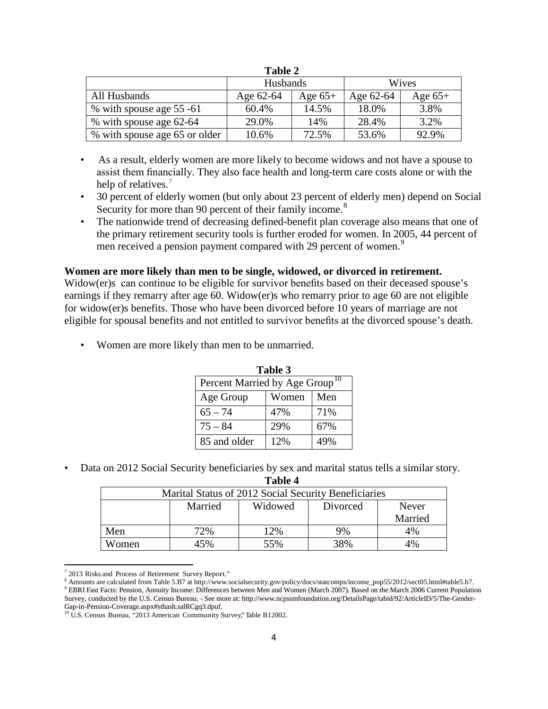| Table 2                       |           |           |           |           |
|-------------------------------|-----------|-----------|-----------|-----------|
|                               | Husbands  |           | Wives     |           |
| All Husbands                  | Age 62-64 | Age $65+$ | Age 62-64 | Age $65+$ |
| % with spouse age 55 -61      | 60.4%     | 14.5%     | 18.0%     | 3.8%      |
| % with spouse age 62-64       | 29.0%     | 14%       | 28.4%     | 3.2%      |
| % with spouse age 65 or older | 10.6%     | 72.5%     | 53.6%     | 92.9%     |

**Table 2**

- As a result, elderly women are more likely to become widows and not have a spouse to assist them financially. They also face health and long-term care costs alone or with the help of relatives.<sup>[7](#page-3-0)</sup>
- 30 percent of elderly women (but only about 23 percent of elderly men) depend on Social Security for more than 90 percent of their family income.<sup>[8](#page-3-1)</sup>
- The nationwide trend of decreasing defined-benefit plan coverage also means that one of the primary retirement security tools is further eroded for women. In 2005, 44 percent of men received a pension payment compared with 2[9](#page-3-2) percent of women.<sup>9</sup>

#### **Women are more likely than men to be single, widowed, or divorced in retirement.**

Widow(er)s can continue to be eligible for survivor benefits based on their deceased spouse's earnings if they remarry after age 60. Widow(er)s who remarry prior to age 60 are not eligible for widow(er)s benefits. Those who have been divorced before 10 years of marriage are not eligible for spousal benefits and not entitled to survivor benefits at the divorced spouse's death.

Women are more likely than men to be unmarried.

| Table 3                                    |     |     |  |
|--------------------------------------------|-----|-----|--|
| Percent Married by Age Group <sup>10</sup> |     |     |  |
| Men<br>Women<br>Age Group                  |     |     |  |
| $65 - 74$                                  | 47% | 71% |  |
| $75 - 84$                                  | 29% | 67% |  |
| 85 and older                               | 12% | 49% |  |

• Data on 2012 Social Security beneficiaries by sex and marital status tells a similar story.

**Table 4**

| Marital Status of 2012 Social Security Beneficiaries |         |         |          |         |
|------------------------------------------------------|---------|---------|----------|---------|
|                                                      | Married | Widowed | Divorced | Never   |
|                                                      |         |         |          | Married |
| Men                                                  | 72%     | 12%     | 9%       | 4%      |
| Women                                                | 45%     | 55%     | 38%      | 4%      |

l

<span id="page-3-2"></span><span id="page-3-1"></span><span id="page-3-0"></span><sup>&</sup>lt;sup>7</sup> 2013 Risks and Process of Retirement Survey Report."<br><sup>8</sup> Amounts are calculated from Table 5.B7 at http://www.socialsecurity.gov/policy/docs/statcomps/income\_pop55/2012/sect05.html#table5.b7.<br><sup>9</sup> EBRI Fast Facts: Pensi Survey, conducted by the U.S. Census Bureau. - See more at: http://www.ncpssmfoundation.org/DetailsPage/tabid/92/ArticleID/5/The-Gender-Gap-in-Pension-Coverage.aspx#sthash.salRCgq3.dpuf.<br><sup>10</sup> U.S. Census Bureau, "2013 American Community Survey," Table B12002.

<span id="page-3-3"></span>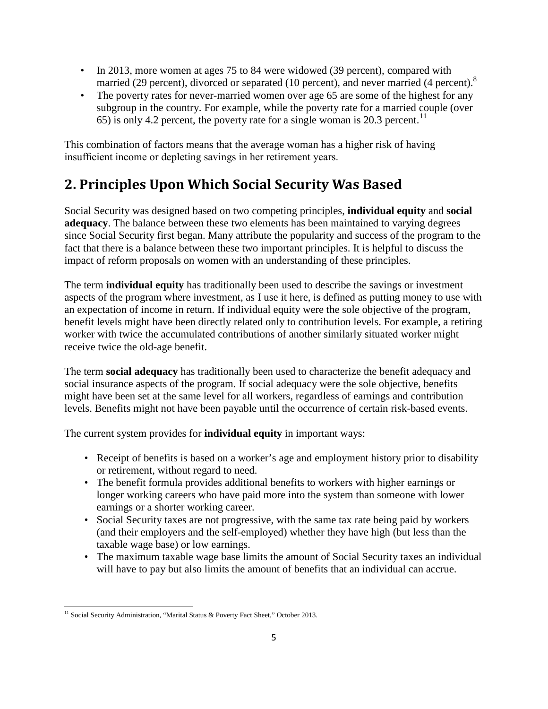- In 2013, more women at ages 75 to 84 were widowed (39 percent), compared with married (29 percent), divorced or separated (10 percent), and never married (4 percent).<sup>8</sup>
- The poverty rates for never-married women over age 65 are some of the highest for any subgroup in the country. For example, while the poverty rate for a married couple (over 65) is only 4.2 percent, the poverty rate for a single woman is 20.3 percent.<sup>[11](#page-4-0)</sup>

This combination of factors means that the average woman has a higher risk of having insufficient income or depleting savings in her retirement years.

# **2. Principles Upon Which Social Security Was Based**

Social Security was designed based on two competing principles, **individual equity** and **social adequacy**. The balance between these two elements has been maintained to varying degrees since Social Security first began. Many attribute the popularity and success of the program to the fact that there is a balance between these two important principles. It is helpful to discuss the impact of reform proposals on women with an understanding of these principles.

The term **individual equity** has traditionally been used to describe the savings or investment aspects of the program where investment, as I use it here, is defined as putting money to use with an expectation of income in return. If individual equity were the sole objective of the program, benefit levels might have been directly related only to contribution levels. For example, a retiring worker with twice the accumulated contributions of another similarly situated worker might receive twice the old-age benefit.

The term **social adequacy** has traditionally been used to characterize the benefit adequacy and social insurance aspects of the program. If social adequacy were the sole objective, benefits might have been set at the same level for all workers, regardless of earnings and contribution levels. Benefits might not have been payable until the occurrence of certain risk-based events.

The current system provides for **individual equity** in important ways:

- Receipt of benefits is based on a worker's age and employment history prior to disability or retirement, without regard to need.
- The benefit formula provides additional benefits to workers with higher earnings or longer working careers who have paid more into the system than someone with lower earnings or a shorter working career.
- Social Security taxes are not progressive, with the same tax rate being paid by workers (and their employers and the self-employed) whether they have high (but less than the taxable wage base) or low earnings.
- The maximum taxable wage base limits the amount of Social Security taxes an individual will have to pay but also limits the amount of benefits that an individual can accrue.

 $\overline{\phantom{a}}$ 

<span id="page-4-0"></span><sup>&</sup>lt;sup>11</sup> Social Security Administration, "Marital Status & Poverty Fact Sheet," October 2013.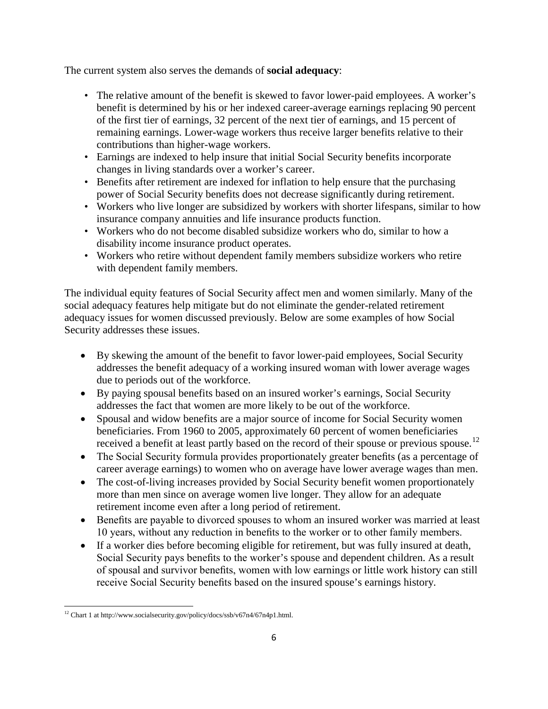The current system also serves the demands of **social adequacy**:

- The relative amount of the benefit is skewed to favor lower-paid employees. A worker's benefit is determined by his or her indexed career-average earnings replacing 90 percent of the first tier of earnings, 32 percent of the next tier of earnings, and 15 percent of remaining earnings. Lower-wage workers thus receive larger benefits relative to their contributions than higher-wage workers.
- Earnings are indexed to help insure that initial Social Security benefits incorporate changes in living standards over a worker's career.
- Benefits after retirement are indexed for inflation to help ensure that the purchasing power of Social Security benefits does not decrease significantly during retirement.
- Workers who live longer are subsidized by workers with shorter lifespans, similar to how insurance company annuities and life insurance products function.
- Workers who do not become disabled subsidize workers who do, similar to how a disability income insurance product operates.
- Workers who retire without dependent family members subsidize workers who retire with dependent family members.

The individual equity features of Social Security affect men and women similarly. Many of the social adequacy features help mitigate but do not eliminate the gender-related retirement adequacy issues for women discussed previously. Below are some examples of how Social Security addresses these issues.

- By skewing the amount of the benefit to favor lower-paid employees, Social Security addresses the benefit adequacy of a working insured woman with lower average wages due to periods out of the workforce.
- By paying spousal benefits based on an insured worker's earnings, Social Security addresses the fact that women are more likely to be out of the workforce.
- Spousal and widow benefits are a major source of income for Social Security women beneficiaries. From 1960 to 2005, approximately 60 percent of women beneficiaries received a benefit at least partly based on the record of their spouse or previous spouse.<sup>[12](#page-5-0)</sup>
- The Social Security formula provides proportionately greater benefits (as a percentage of career average earnings) to women who on average have lower average wages than men.
- The cost-of-living increases provided by Social Security benefit women proportionately more than men since on average women live longer. They allow for an adequate retirement income even after a long period of retirement.
- Benefits are payable to divorced spouses to whom an insured worker was married at least 10 years, without any reduction in benefits to the worker or to other family members.
- If a worker dies before becoming eligible for retirement, but was fully insured at death, Social Security pays benefits to the worker's spouse and dependent children. As a result of spousal and survivor benefits, women with low earnings or little work history can still receive Social Security benefits based on the insured spouse's earnings history.

<span id="page-5-0"></span> $\overline{\phantom{a}}$ <sup>12</sup> Chart 1 at http://www.socialsecurity.gov/policy/docs/ssb/v67n4/67n4p1.html.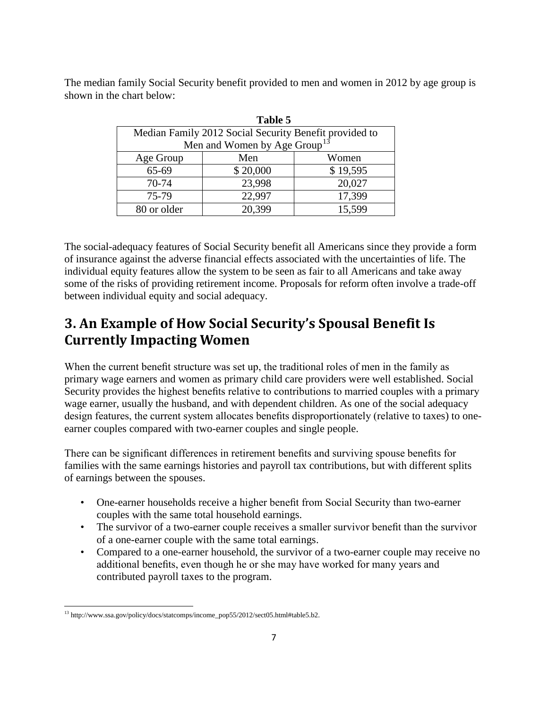The median family Social Security benefit provided to men and women in 2012 by age group is shown in the chart below:

| Table 5     |                                                        |          |  |  |
|-------------|--------------------------------------------------------|----------|--|--|
|             | Median Family 2012 Social Security Benefit provided to |          |  |  |
|             | Men and Women by Age Group <sup>13</sup>               |          |  |  |
| Age Group   | Men                                                    | Women    |  |  |
| 65-69       | \$20,000                                               | \$19,595 |  |  |
| 70-74       | 23,998                                                 | 20,027   |  |  |
| 75-79       | 22,997                                                 | 17,399   |  |  |
| 80 or older | 20,399                                                 | 15,599   |  |  |

The social-adequacy features of Social Security benefit all Americans since they provide a form of insurance against the adverse financial effects associated with the uncertainties of life. The individual equity features allow the system to be seen as fair to all Americans and take away some of the risks of providing retirement income. Proposals for reform often involve a trade-off between individual equity and social adequacy.

# **3. An Example of How Social Security's Spousal Benefit Is Currently Impacting Women**

When the current benefit structure was set up, the traditional roles of men in the family as primary wage earners and women as primary child care providers were well established. Social Security provides the highest benefits relative to contributions to married couples with a primary wage earner, usually the husband, and with dependent children. As one of the social adequacy design features, the current system allocates benefits disproportionately (relative to taxes) to oneearner couples compared with two-earner couples and single people.

There can be significant differences in retirement benefits and surviving spouse benefits for families with the same earnings histories and payroll tax contributions, but with different splits of earnings between the spouses.

- One-earner households receive a higher benefit from Social Security than two-earner couples with the same total household earnings.
- The survivor of a two-earner couple receives a smaller survivor benefit than the survivor of a one-earner couple with the same total earnings.
- Compared to a one-earner household, the survivor of a two-earner couple may receive no additional benefits, even though he or she may have worked for many years and contributed payroll taxes to the program.

<span id="page-6-0"></span> $\overline{\phantom{a}}$ <sup>13</sup> http://www.ssa.gov/policy/docs/statcomps/income\_pop55/2012/sect05.html#table5.b2.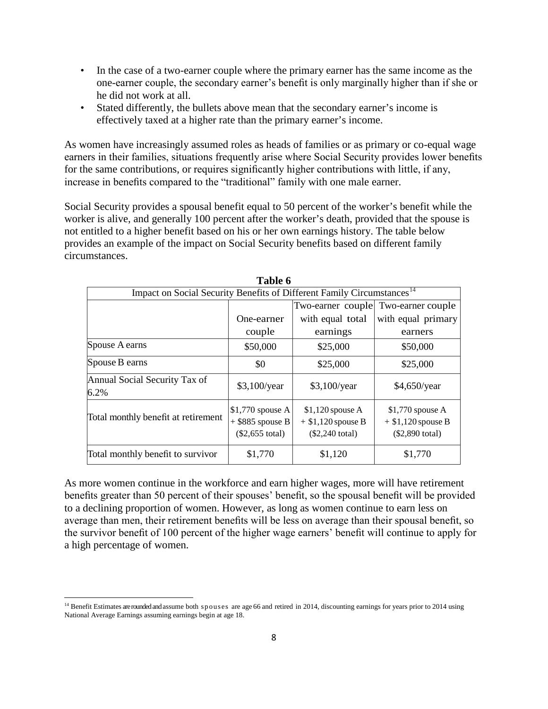- In the case of a two-earner couple where the primary earner has the same income as the one-earner couple, the secondary earner's benefit is only marginally higher than if she or he did not work at all.
- Stated differently, the bullets above mean that the secondary earner's income is effectively taxed at a higher rate than the primary earner's income.

As women have increasingly assumed roles as heads of families or as primary or co-equal wage earners in their families, situations frequently arise where Social Security provides lower benefits for the same contributions, or requires significantly higher contributions with little, if any, increase in benefits compared to the "traditional" family with one male earner.

Social Security provides a spousal benefit equal to 50 percent of the worker's benefit while the worker is alive, and generally 100 percent after the worker's death, provided that the spouse is not entitled to a higher benefit based on his or her own earnings history. The table below provides an example of the impact on Social Security benefits based on different family circumstances.

|                                                                                    | Table 6                                                      |                                                                |                                                                       |  |
|------------------------------------------------------------------------------------|--------------------------------------------------------------|----------------------------------------------------------------|-----------------------------------------------------------------------|--|
| Impact on Social Security Benefits of Different Family Circumstances <sup>14</sup> |                                                              |                                                                |                                                                       |  |
|                                                                                    | Two-earner couple Two-earner couple                          |                                                                |                                                                       |  |
|                                                                                    | One-earner                                                   | with equal total                                               | with equal primary                                                    |  |
|                                                                                    | couple                                                       | earnings                                                       | earners                                                               |  |
| Spouse A earns                                                                     | \$50,000                                                     | \$25,000                                                       | \$50,000                                                              |  |
| Spouse B earns                                                                     | \$0                                                          | \$25,000                                                       | \$25,000                                                              |  |
| Annual Social Security Tax of<br>6.2%                                              | $$3,100$ /year                                               | $$3,100$ /year                                                 | \$4,650/year                                                          |  |
| Total monthly benefit at retirement                                                | $$1,770$ spouse A<br>$+$ \$885 spouse B<br>$(\$2,655$ total) | $$1,120$ spouse A<br>$+$ \$1,120 spouse B<br>$(\$2,240$ total) | $$1,770$ spouse A<br>$+$ \$1,120 spouse B<br>$($2,890 \text{ total})$ |  |
| Total monthly benefit to survivor                                                  | \$1,770                                                      | \$1,120                                                        | \$1,770                                                               |  |

As more women continue in the workforce and earn higher wages, more will have retirement benefits greater than 50 percent of their spouses' benefit, so the spousal benefit will be provided to a declining proportion of women. However, as long as women continue to earn less on average than men, their retirement benefits will be less on average than their spousal benefit, so the survivor benefit of 100 percent of the higher wage earners' benefit will continue to apply for a high percentage of women.

<span id="page-7-0"></span>l <sup>14</sup> Benefit Estimates are rounded and assume both spouses are age 66 and retired in 2014, discounting earnings for years prior to 2014 using National Average Earnings assuming earnings begin at age 18.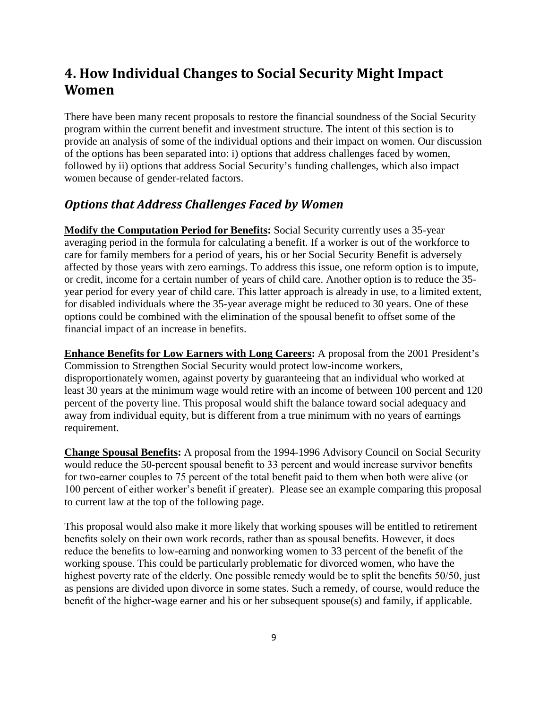### **4. How Individual Changes to Social Security Might Impact Women**

There have been many recent proposals to restore the financial soundness of the Social Security program within the current benefit and investment structure. The intent of this section is to provide an analysis of some of the individual options and their impact on women. Our discussion of the options has been separated into: i) options that address challenges faced by women, followed by ii) options that address Social Security's funding challenges, which also impact women because of gender-related factors.

### *Options that Address Challenges Faced by Women*

**Modify the Computation Period for Benefits:** Social Security currently uses a 35-year averaging period in the formula for calculating a benefit. If a worker is out of the workforce to care for family members for a period of years, his or her Social Security Benefit is adversely affected by those years with zero earnings. To address this issue, one reform option is to impute, or credit, income for a certain number of years of child care. Another option is to reduce the 35 year period for every year of child care. This latter approach is already in use, to a limited extent, for disabled individuals where the 35-year average might be reduced to 30 years. One of these options could be combined with the elimination of the spousal benefit to offset some of the financial impact of an increase in benefits.

**Enhance Benefits for Low Earners with Long Careers:** A proposal from the 2001 President's Commission to Strengthen Social Security would protect low-income workers, disproportionately women, against poverty by guaranteeing that an individual who worked at least 30 years at the minimum wage would retire with an income of between 100 percent and 120 percent of the poverty line. This proposal would shift the balance toward social adequacy and away from individual equity, but is different from a true minimum with no years of earnings requirement.

**Change Spousal Benefits:** A proposal from the 1994-1996 Advisory Council on Social Security would reduce the 50-percent spousal benefit to 33 percent and would increase survivor benefits for two-earner couples to 75 percent of the total benefit paid to them when both were alive (or 100 percent of either worker's benefit if greater). Please see an example comparing this proposal to current law at the top of the following page.

This proposal would also make it more likely that working spouses will be entitled to retirement benefits solely on their own work records, rather than as spousal benefits. However, it does reduce the benefits to low-earning and nonworking women to 33 percent of the benefit of the working spouse. This could be particularly problematic for divorced women, who have the highest poverty rate of the elderly. One possible remedy would be to split the benefits 50/50, just as pensions are divided upon divorce in some states. Such a remedy, of course, would reduce the benefit of the higher-wage earner and his or her subsequent spouse(s) and family, if applicable.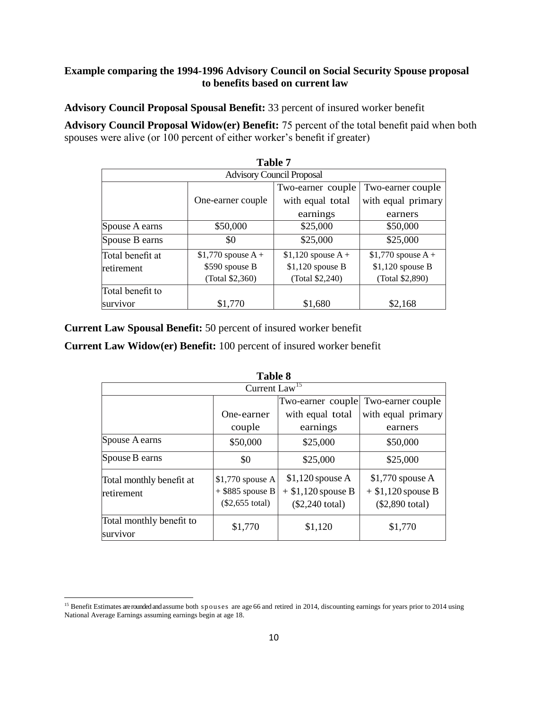#### **Example comparing the 1994-1996 Advisory Council on Social Security Spouse proposal to benefits based on current law**

**Advisory Council Proposal Spousal Benefit:** 33 percent of insured worker benefit

**Advisory Council Proposal Widow(er) Benefit:** 75 percent of the total benefit paid when both spouses were alive (or 100 percent of either worker's benefit if greater)

|                                  |                      | <b>Table 7</b>      |                     |  |
|----------------------------------|----------------------|---------------------|---------------------|--|
| <b>Advisory Council Proposal</b> |                      |                     |                     |  |
|                                  |                      | Two-earner couple   | Two-earner couple   |  |
|                                  | One-earner couple    | with equal total    | with equal primary  |  |
|                                  |                      | earnings            | earners             |  |
| Spouse A earns                   | \$50,000             | \$25,000            | \$50,000            |  |
| Spouse B earns                   | \$0                  | \$25,000            | \$25,000            |  |
| Total benefit at                 | \$1,770 spouse $A +$ | $$1,120$ spouse A + | $$1,770$ spouse A + |  |
| retirement                       | \$590 spouse B       | $$1,120$ spouse B   | \$1,120 spouse B    |  |
|                                  | (Total \$2,360)      | (Total \$2,240)     | (Total \$2,890)     |  |
| Total benefit to                 |                      |                     |                     |  |
| survivor                         | \$1,770              | \$1,680             | \$2,168             |  |

**Current Law Spousal Benefit:** 50 percent of insured worker benefit

**Current Law Widow(er) Benefit:** 100 percent of insured worker benefit

| <b>Table 8</b>                         |                                                              |                                                                       |                                                                       |  |
|----------------------------------------|--------------------------------------------------------------|-----------------------------------------------------------------------|-----------------------------------------------------------------------|--|
| Current Law <sup>15</sup>              |                                                              |                                                                       |                                                                       |  |
|                                        |                                                              | Two-earner couple<br>Two-earner couple                                |                                                                       |  |
|                                        | One-earner                                                   | with equal total                                                      | with equal primary                                                    |  |
|                                        | couple                                                       | earnings                                                              | earners                                                               |  |
| Spouse A earns                         | \$50,000                                                     | \$25,000                                                              | \$50,000                                                              |  |
| Spouse B earns                         | \$0                                                          | \$25,000                                                              | \$25,000                                                              |  |
| Total monthly benefit at<br>retirement | $$1,770$ spouse A<br>$+$ \$885 spouse B<br>$(\$2,655$ total) | $$1,120$ spouse A<br>$+$ \$1,120 spouse B<br>$($2,240 \text{ total})$ | $$1,770$ spouse A<br>$+$ \$1,120 spouse B<br>$($2,890 \text{ total})$ |  |
| Total monthly benefit to<br>survivor   | \$1,770                                                      | \$1,120                                                               | \$1,770                                                               |  |

<span id="page-9-0"></span>l <sup>15</sup> Benefit Estimates are rounded and assume both spouses are age 66 and retired in 2014, discounting earnings for years prior to 2014 using National Average Earnings assuming earnings begin at age 18.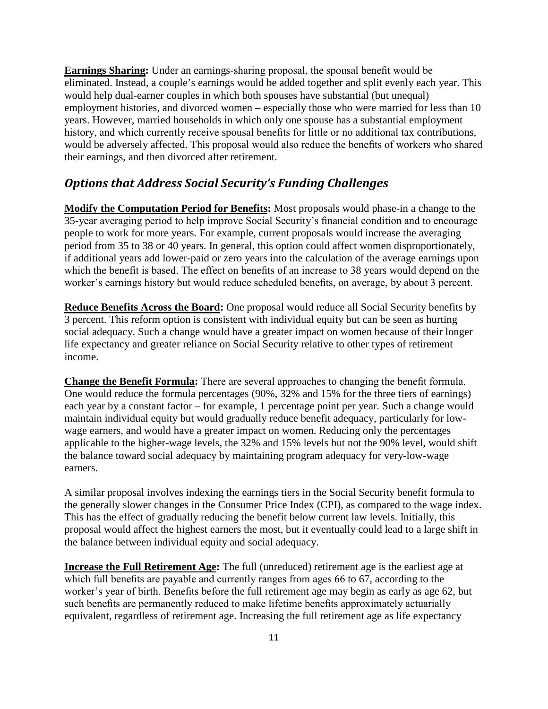**Earnings Sharing:** Under an earnings-sharing proposal, the spousal benefit would be eliminated. Instead, a couple's earnings would be added together and split evenly each year. This would help dual-earner couples in which both spouses have substantial (but unequal) employment histories, and divorced women – especially those who were married for less than 10 years. However, married households in which only one spouse has a substantial employment history, and which currently receive spousal benefits for little or no additional tax contributions, would be adversely affected. This proposal would also reduce the benefits of workers who shared their earnings, and then divorced after retirement.

### *Options that Address Social Security's Funding Challenges*

**Modify the Computation Period for Benefits:** Most proposals would phase-in a change to the 35-year averaging period to help improve Social Security's financial condition and to encourage people to work for more years. For example, current proposals would increase the averaging period from 35 to 38 or 40 years. In general, this option could affect women disproportionately, if additional years add lower-paid or zero years into the calculation of the average earnings upon which the benefit is based. The effect on benefits of an increase to 38 years would depend on the worker's earnings history but would reduce scheduled benefits, on average, by about 3 percent.

**Reduce Benefits Across the Board:** One proposal would reduce all Social Security benefits by 3 percent. This reform option is consistent with individual equity but can be seen as hurting social adequacy. Such a change would have a greater impact on women because of their longer life expectancy and greater reliance on Social Security relative to other types of retirement income.

**Change the Benefit Formula:** There are several approaches to changing the benefit formula. One would reduce the formula percentages (90%, 32% and 15% for the three tiers of earnings) each year by a constant factor – for example, 1 percentage point per year. Such a change would maintain individual equity but would gradually reduce benefit adequacy, particularly for lowwage earners, and would have a greater impact on women. Reducing only the percentages applicable to the higher-wage levels, the 32% and 15% levels but not the 90% level, would shift the balance toward social adequacy by maintaining program adequacy for very-low-wage earners.

A similar proposal involves indexing the earnings tiers in the Social Security benefit formula to the generally slower changes in the Consumer Price Index (CPI), as compared to the wage index. This has the effect of gradually reducing the benefit below current law levels. Initially, this proposal would affect the highest earners the most, but it eventually could lead to a large shift in the balance between individual equity and social adequacy.

**Increase the Full Retirement Age:** The full (unreduced) retirement age is the earliest age at which full benefits are payable and currently ranges from ages 66 to 67, according to the worker's year of birth. Benefits before the full retirement age may begin as early as age 62, but such benefits are permanently reduced to make lifetime benefits approximately actuarially equivalent, regardless of retirement age. Increasing the full retirement age as life expectancy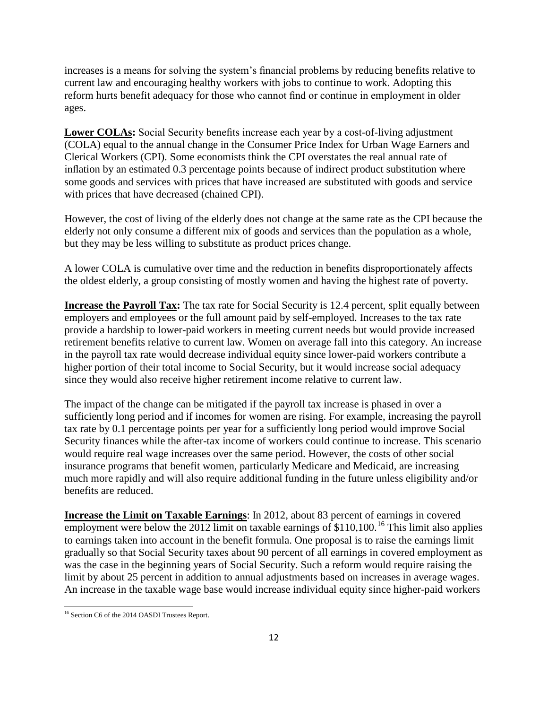increases is a means for solving the system's financial problems by reducing benefits relative to current law and encouraging healthy workers with jobs to continue to work. Adopting this reform hurts benefit adequacy for those who cannot find or continue in employment in older ages.

**Lower COLAs:** Social Security benefits increase each year by a cost-of-living adjustment (COLA) equal to the annual change in the Consumer Price Index for Urban Wage Earners and Clerical Workers (CPI). Some economists think the CPI overstates the real annual rate of inflation by an estimated 0.3 percentage points because of indirect product substitution where some goods and services with prices that have increased are substituted with goods and service with prices that have decreased (chained CPI).

However, the cost of living of the elderly does not change at the same rate as the CPI because the elderly not only consume a different mix of goods and services than the population as a whole, but they may be less willing to substitute as product prices change.

A lower COLA is cumulative over time and the reduction in benefits disproportionately affects the oldest elderly, a group consisting of mostly women and having the highest rate of poverty.

**Increase the Payroll Tax:** The tax rate for Social Security is 12.4 percent, split equally between employers and employees or the full amount paid by self-employed. Increases to the tax rate provide a hardship to lower-paid workers in meeting current needs but would provide increased retirement benefits relative to current law. Women on average fall into this category. An increase in the payroll tax rate would decrease individual equity since lower-paid workers contribute a higher portion of their total income to Social Security, but it would increase social adequacy since they would also receive higher retirement income relative to current law.

The impact of the change can be mitigated if the payroll tax increase is phased in over a sufficiently long period and if incomes for women are rising. For example, increasing the payroll tax rate by 0.1 percentage points per year for a sufficiently long period would improve Social Security finances while the after-tax income of workers could continue to increase. This scenario would require real wage increases over the same period. However, the costs of other social insurance programs that benefit women, particularly Medicare and Medicaid, are increasing much more rapidly and will also require additional funding in the future unless eligibility and/or benefits are reduced.

**Increase the Limit on Taxable Earnings**: In 2012, about 83 percent of earnings in covered employment were below the 2012 limit on taxable earnings of  $$110,100$ .<sup>[16](#page-11-0)</sup> This limit also applies to earnings taken into account in the benefit formula. One proposal is to raise the earnings limit gradually so that Social Security taxes about 90 percent of all earnings in covered employment as was the case in the beginning years of Social Security. Such a reform would require raising the limit by about 25 percent in addition to annual adjustments based on increases in average wages. An increase in the taxable wage base would increase individual equity since higher-paid workers

 $\overline{\phantom{a}}$ 

<span id="page-11-0"></span><sup>&</sup>lt;sup>16</sup> Section C6 of the 2014 OASDI Trustees Report.